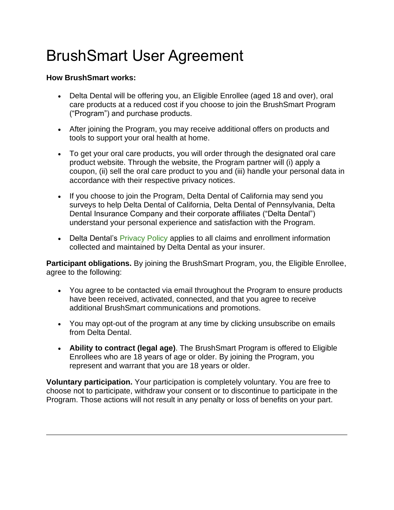## BrushSmart User Agreement

## **How BrushSmart works:**

- Delta Dental will be offering you, an Eligible Enrollee (aged 18 and over), oral care products at a reduced cost if you choose to join the BrushSmart Program ("Program") and purchase products.
- After joining the Program, you may receive additional offers on products and tools to support your oral health at home.
- To get your oral care products, you will order through the designated oral care product website. Through the website, the Program partner will (i) apply a coupon, (ii) sell the oral care product to you and (iii) handle your personal data in accordance with their respective privacy notices.
- If you choose to join the Program, Delta Dental of California may send you surveys to help Delta Dental of California, Delta Dental of Pennsylvania, Delta Dental Insurance Company and their corporate affiliates ("Delta Dental") understand your personal experience and satisfaction with the Program.
- Delta Dental's [Privacy Policy](https://www.deltadentalins.com/about/privacy/) applies to all claims and enrollment information collected and maintained by Delta Dental as your insurer.

**Participant obligations.** By joining the BrushSmart Program, you, the Eligible Enrollee, agree to the following:

- You agree to be contacted via email throughout the Program to ensure products have been received, activated, connected, and that you agree to receive additional BrushSmart communications and promotions.
- You may opt-out of the program at any time by clicking unsubscribe on emails from Delta Dental.
- **Ability to contract (legal age)**. The BrushSmart Program is offered to Eligible Enrollees who are 18 years of age or older. By joining the Program, you represent and warrant that you are 18 years or older.

**Voluntary participation.** Your participation is completely voluntary. You are free to choose not to participate, withdraw your consent or to discontinue to participate in the Program. Those actions will not result in any penalty or loss of benefits on your part.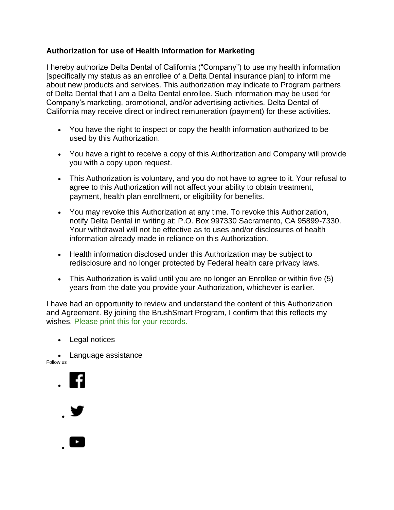## **Authorization for use of Health Information for Marketing**

I hereby authorize Delta Dental of California ("Company") to use my health information [specifically my status as an enrollee of a Delta Dental insurance plan] to inform me about new products and services. This authorization may indicate to Program partners of Delta Dental that I am a Delta Dental enrollee. Such information may be used for Company's marketing, promotional, and/or advertising activities. Delta Dental of California may receive direct or indirect remuneration (payment) for these activities.

- You have the right to inspect or copy the health information authorized to be used by this Authorization.
- You have a right to receive a copy of this Authorization and Company will provide you with a copy upon request.
- This Authorization is voluntary, and you do not have to agree to it. Your refusal to agree to this Authorization will not affect your ability to obtain treatment, payment, health plan enrollment, or eligibility for benefits.
- You may revoke this Authorization at any time. To revoke this Authorization, notify Delta Dental in writing at: P.O. Box 997330 Sacramento, CA 95899-7330. Your withdrawal will not be effective as to uses and/or disclosures of health information already made in reliance on this Authorization.
- Health information disclosed under this Authorization may be subject to redisclosure and no longer protected by Federal health care privacy laws.
- This Authorization is valid until you are no longer an Enrollee or within five (5) years from the date you provide your Authorization, whichever is earlier.

I have had an opportunity to review and understand the content of this Authorization and Agreement. By joining the BrushSmart Program, I confirm that this reflects my wishes. [Please print this for your records.](javascript:window.print();)

- [Legal notices](https://www.deltadentalins.com/about/legal/)
- [Language assistance](https://www.deltadentalins.com/individuals/guidance/language-assistance.html)

Follow us